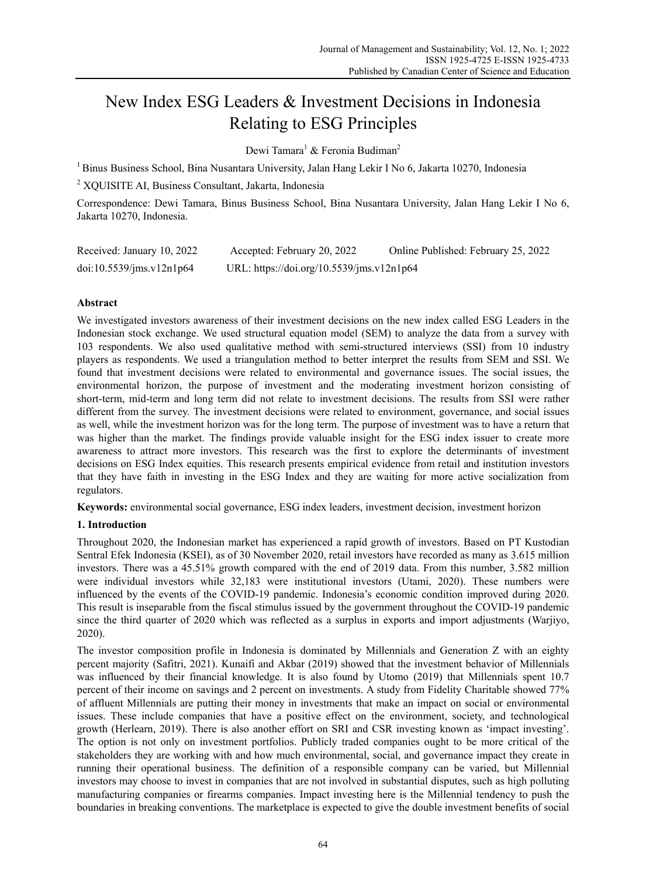# New Index ESG Leaders & Investment Decisions in Indonesia Relating to ESG Principles

Dewi Tamara<sup>1</sup> & Feronia Budiman<sup>2</sup>

1 Binus Business School, Bina Nusantara University, Jalan Hang Lekir I No 6, Jakarta 10270, Indonesia

2 XQUISITE AI, Business Consultant, Jakarta, Indonesia

Correspondence: Dewi Tamara, Binus Business School, Bina Nusantara University, Jalan Hang Lekir I No 6, Jakarta 10270, Indonesia.

| Received: January 10, 2022 | Accepted: February 20, 2022               | Online Published: February 25, 2022 |
|----------------------------|-------------------------------------------|-------------------------------------|
| doi:10.5539/ims.v12n1p64   | URL: https://doi.org/10.5539/jms.v12n1p64 |                                     |

# **Abstract**

We investigated investors awareness of their investment decisions on the new index called ESG Leaders in the Indonesian stock exchange. We used structural equation model (SEM) to analyze the data from a survey with 103 respondents. We also used qualitative method with semi-structured interviews (SSI) from 10 industry players as respondents. We used a triangulation method to better interpret the results from SEM and SSI. We found that investment decisions were related to environmental and governance issues. The social issues, the environmental horizon, the purpose of investment and the moderating investment horizon consisting of short-term, mid-term and long term did not relate to investment decisions. The results from SSI were rather different from the survey. The investment decisions were related to environment, governance, and social issues as well, while the investment horizon was for the long term. The purpose of investment was to have a return that was higher than the market. The findings provide valuable insight for the ESG index issuer to create more awareness to attract more investors. This research was the first to explore the determinants of investment decisions on ESG Index equities. This research presents empirical evidence from retail and institution investors that they have faith in investing in the ESG Index and they are waiting for more active socialization from regulators.

**Keywords:** environmental social governance, ESG index leaders, investment decision, investment horizon

# **1. Introduction**

Throughout 2020, the Indonesian market has experienced a rapid growth of investors. Based on PT Kustodian Sentral Efek Indonesia (KSEI), as of 30 November 2020, retail investors have recorded as many as 3.615 million investors. There was a 45.51% growth compared with the end of 2019 data. From this number, 3.582 million were individual investors while 32,183 were institutional investors (Utami, 2020). These numbers were influenced by the events of the COVID-19 pandemic. Indonesia's economic condition improved during 2020. This result is inseparable from the fiscal stimulus issued by the government throughout the COVID-19 pandemic since the third quarter of 2020 which was reflected as a surplus in exports and import adjustments (Warjiyo, 2020).

The investor composition profile in Indonesia is dominated by Millennials and Generation Z with an eighty percent majority (Safitri, 2021). Kunaifi and Akbar (2019) showed that the investment behavior of Millennials was influenced by their financial knowledge. It is also found by Utomo (2019) that Millennials spent 10.7 percent of their income on savings and 2 percent on investments. A study from Fidelity Charitable showed 77% of affluent Millennials are putting their money in investments that make an impact on social or environmental issues. These include companies that have a positive effect on the environment, society, and technological growth (Herlearn, 2019). There is also another effort on SRI and CSR investing known as 'impact investing'. The option is not only on investment portfolios. Publicly traded companies ought to be more critical of the stakeholders they are working with and how much environmental, social, and governance impact they create in running their operational business. The definition of a responsible company can be varied, but Millennial investors may choose to invest in companies that are not involved in substantial disputes, such as high polluting manufacturing companies or firearms companies. Impact investing here is the Millennial tendency to push the boundaries in breaking conventions. The marketplace is expected to give the double investment benefits of social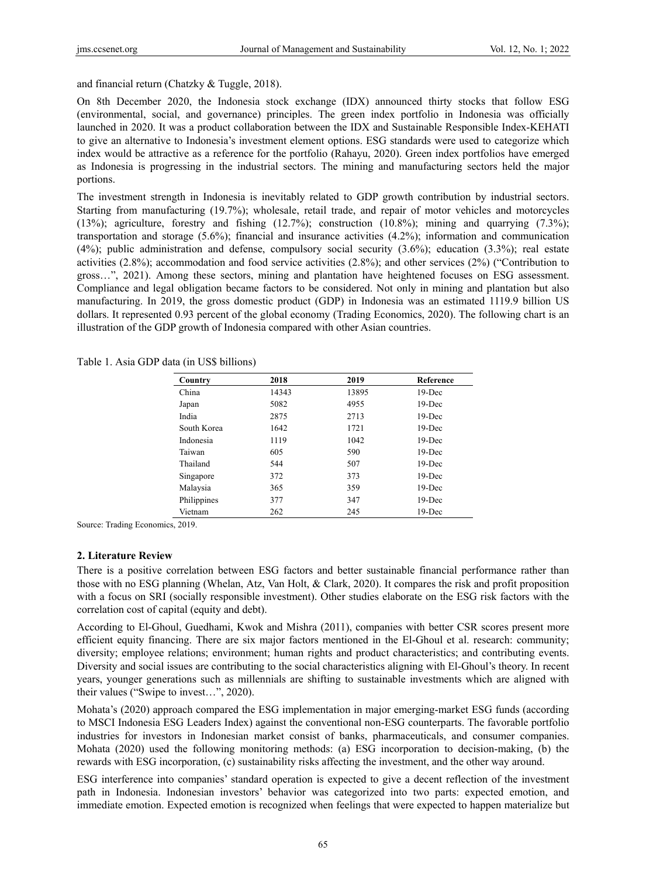and financial return (Chatzky & Tuggle, 2018).

On 8th December 2020, the Indonesia stock exchange (IDX) announced thirty stocks that follow ESG (environmental, social, and governance) principles. The green index portfolio in Indonesia was officially launched in 2020. It was a product collaboration between the IDX and Sustainable Responsible Index-KEHATI to give an alternative to Indonesia's investment element options. ESG standards were used to categorize which index would be attractive as a reference for the portfolio (Rahayu, 2020). Green index portfolios have emerged as Indonesia is progressing in the industrial sectors. The mining and manufacturing sectors held the major portions.

The investment strength in Indonesia is inevitably related to GDP growth contribution by industrial sectors. Starting from manufacturing (19.7%); wholesale, retail trade, and repair of motor vehicles and motorcycles (13%); agriculture, forestry and fishing (12.7%); construction (10.8%); mining and quarrying (7.3%); transportation and storage (5.6%); financial and insurance activities (4.2%); information and communication (4%); public administration and defense, compulsory social security (3.6%); education (3.3%); real estate activities (2.8%); accommodation and food service activities (2.8%); and other services (2%) ("Contribution to gross…", 2021). Among these sectors, mining and plantation have heightened focuses on ESG assessment. Compliance and legal obligation became factors to be considered. Not only in mining and plantation but also manufacturing. In 2019, the gross domestic product (GDP) in Indonesia was an estimated 1119.9 billion US dollars. It represented 0.93 percent of the global economy (Trading Economics, 2020). The following chart is an illustration of the GDP growth of Indonesia compared with other Asian countries.

| 13895 | $19$ -Dec |
|-------|-----------|
|       |           |
| 4955  | $19$ -Dec |
| 2713  | $19$ -Dec |
| 1721  | $19$ -Dec |
| 1042  | $19$ -Dec |
| 590   | $19$ -Dec |
| 507   | $19$ -Dec |
| 373   | $19$ -Dec |
| 359   | $19$ -Dec |
| 347   | $19$ -Dec |
|       | $19$ -Dec |
|       | 245       |

Table 1. Asia GDP data (in US\$ billions)

Source: Trading Economics, 2019.

#### **2. Literature Review**

There is a positive correlation between ESG factors and better sustainable financial performance rather than those with no ESG planning (Whelan, Atz, Van Holt, & Clark, 2020). It compares the risk and profit proposition with a focus on SRI (socially responsible investment). Other studies elaborate on the ESG risk factors with the correlation cost of capital (equity and debt).

According to El-Ghoul, Guedhami, Kwok and Mishra (2011), companies with better CSR scores present more efficient equity financing. There are six major factors mentioned in the El-Ghoul et al. research: community; diversity; employee relations; environment; human rights and product characteristics; and contributing events. Diversity and social issues are contributing to the social characteristics aligning with El-Ghoul's theory. In recent years, younger generations such as millennials are shifting to sustainable investments which are aligned with their values ("Swipe to invest…", 2020).

Mohata's (2020) approach compared the ESG implementation in major emerging-market ESG funds (according to MSCI Indonesia ESG Leaders Index) against the conventional non-ESG counterparts. The favorable portfolio industries for investors in Indonesian market consist of banks, pharmaceuticals, and consumer companies. Mohata (2020) used the following monitoring methods: (a) ESG incorporation to decision-making, (b) the rewards with ESG incorporation, (c) sustainability risks affecting the investment, and the other way around.

ESG interference into companies' standard operation is expected to give a decent reflection of the investment path in Indonesia. Indonesian investors' behavior was categorized into two parts: expected emotion, and immediate emotion. Expected emotion is recognized when feelings that were expected to happen materialize but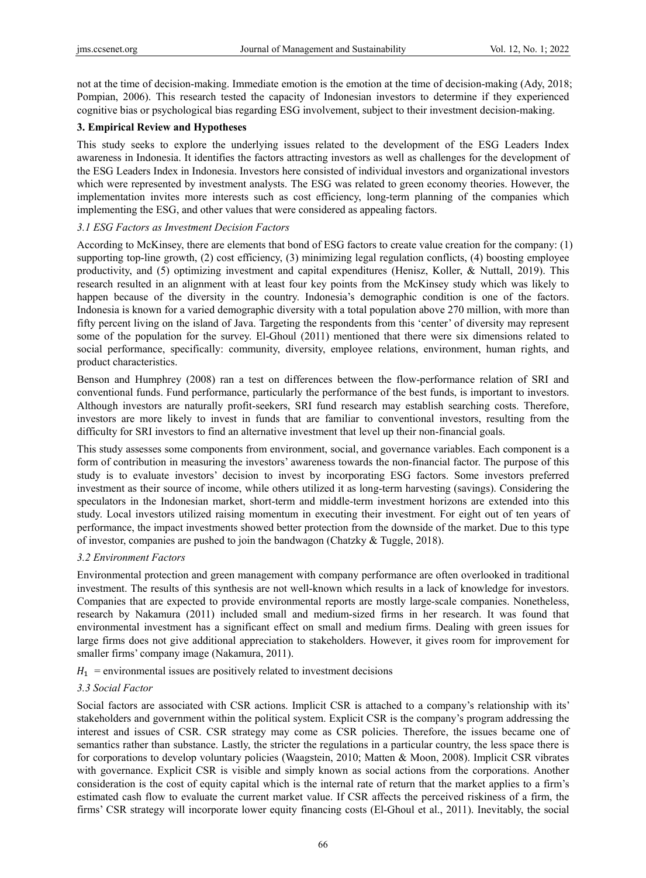not at the time of decision-making. Immediate emotion is the emotion at the time of decision-making (Ady, 2018; Pompian, 2006). This research tested the capacity of Indonesian investors to determine if they experienced cognitive bias or psychological bias regarding ESG involvement, subject to their investment decision-making.

# **3. Empirical Review and Hypotheses**

This study seeks to explore the underlying issues related to the development of the ESG Leaders Index awareness in Indonesia. It identifies the factors attracting investors as well as challenges for the development of the ESG Leaders Index in Indonesia. Investors here consisted of individual investors and organizational investors which were represented by investment analysts. The ESG was related to green economy theories. However, the implementation invites more interests such as cost efficiency, long-term planning of the companies which implementing the ESG, and other values that were considered as appealing factors.

# *3.1 ESG Factors as Investment Decision Factors*

According to McKinsey, there are elements that bond of ESG factors to create value creation for the company: (1) supporting top-line growth, (2) cost efficiency, (3) minimizing legal regulation conflicts, (4) boosting employee productivity, and (5) optimizing investment and capital expenditures (Henisz, Koller, & Nuttall, 2019). This research resulted in an alignment with at least four key points from the McKinsey study which was likely to happen because of the diversity in the country. Indonesia's demographic condition is one of the factors. Indonesia is known for a varied demographic diversity with a total population above 270 million, with more than fifty percent living on the island of Java. Targeting the respondents from this 'center' of diversity may represent some of the population for the survey. El-Ghoul (2011) mentioned that there were six dimensions related to social performance, specifically: community, diversity, employee relations, environment, human rights, and product characteristics.

Benson and Humphrey (2008) ran a test on differences between the flow-performance relation of SRI and conventional funds. Fund performance, particularly the performance of the best funds, is important to investors. Although investors are naturally profit-seekers, SRI fund research may establish searching costs. Therefore, investors are more likely to invest in funds that are familiar to conventional investors, resulting from the difficulty for SRI investors to find an alternative investment that level up their non-financial goals.

This study assesses some components from environment, social, and governance variables. Each component is a form of contribution in measuring the investors' awareness towards the non-financial factor. The purpose of this study is to evaluate investors' decision to invest by incorporating ESG factors. Some investors preferred investment as their source of income, while others utilized it as long-term harvesting (savings). Considering the speculators in the Indonesian market, short-term and middle-term investment horizons are extended into this study. Local investors utilized raising momentum in executing their investment. For eight out of ten years of performance, the impact investments showed better protection from the downside of the market. Due to this type of investor, companies are pushed to join the bandwagon (Chatzky & Tuggle, 2018).

# *3.2 Environment Factors*

Environmental protection and green management with company performance are often overlooked in traditional investment. The results of this synthesis are not well-known which results in a lack of knowledge for investors. Companies that are expected to provide environmental reports are mostly large-scale companies. Nonetheless, research by Nakamura (2011) included small and medium-sized firms in her research. It was found that environmental investment has a significant effect on small and medium firms. Dealing with green issues for large firms does not give additional appreciation to stakeholders. However, it gives room for improvement for smaller firms' company image (Nakamura, 2011).

 $H_1$  = environmental issues are positively related to investment decisions

# *3.3 Social Factor*

Social factors are associated with CSR actions. Implicit CSR is attached to a company's relationship with its' stakeholders and government within the political system. Explicit CSR is the company's program addressing the interest and issues of CSR. CSR strategy may come as CSR policies. Therefore, the issues became one of semantics rather than substance. Lastly, the stricter the regulations in a particular country, the less space there is for corporations to develop voluntary policies (Waagstein, 2010; Matten & Moon, 2008). Implicit CSR vibrates with governance. Explicit CSR is visible and simply known as social actions from the corporations. Another consideration is the cost of equity capital which is the internal rate of return that the market applies to a firm's estimated cash flow to evaluate the current market value. If CSR affects the perceived riskiness of a firm, the firms' CSR strategy will incorporate lower equity financing costs (El-Ghoul et al., 2011). Inevitably, the social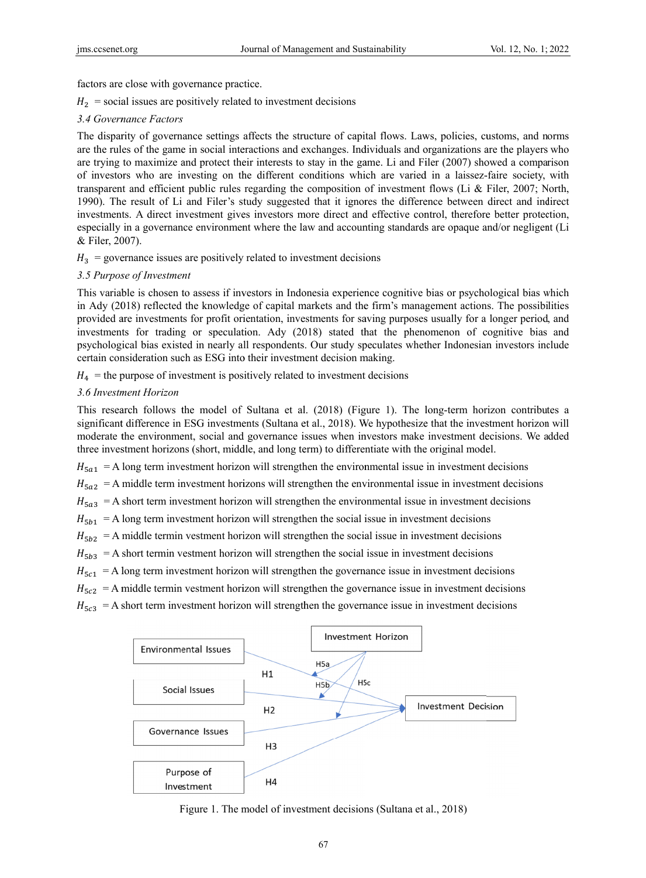factors are close with governance practice.

 $H_2$  = social issues are positively related to investment decisions

# *3.4 Govern nance Factors s*

The disparity of governance settings affects the structure of capital flows. Laws, policies, customs, and norms are the rules of the game in social interactions and exchanges. Individuals and organizations are the players who are trying to maximize and protect their interests to stay in the game. Li and Filer (2007) showed a comparison of investors who are investing on the different conditions which are varied in a laissez-faire society, with transparent and efficient public rules regarding the composition of investment flows (Li & Filer, 2007; North, 1990). The result of Li and Filer's study suggested that it ignores the difference between direct and indirect investments. A direct investment gives investors more direct and effective control, therefore better protection, especially in a governance environment where the law and accounting standards are opaque and/or negligent (Li & Filer, 20 007).

 $H_3$  = governance issues are positively related to investment decisions

# 3.5 Purpose of Investment

This variable is chosen to assess if investors in Indonesia experience cognitive bias or psychological bias which in Ady (2018) reflected the knowledge of capital markets and the firm's management actions. The possibilities provided are investments for profit orientation, investments for saving purposes usually for a longer period, and investments for trading or speculation. Ady (2018) stated that the phenomenon of cognitive bias and psychological bias existed in nearly all respondents. Our study speculates whether Indonesian investors include certain consideration such as ESG into their investment decision making.

 $H_4$  = the purpose of investment is positively related to investment decisions

# *3.6 Investm ment Horizon*

This research follows the model of Sultana et al. (2018) (Figure 1). The long-term horizon contributes a significant difference in ESG investments (Sultana et al., 2018). We hypothesize that the investment horizon will moderate the environment, social and governance issues when investors make investment decisions. We added three investment horizons (short, middle, and long term) to differentiate with the original model.

 $H_{\text{5a1}} = A$  long term investment horizon will strengthen the environmental issue in investment decisions

 $H_{\text{5a2}} = A$  middle term investment horizons will strengthen the environmental issue in investment decisions

 $H_{5a3}$  = A short term investment horizon will strengthen the environmental issue in investment decisions

 $H_{5b1}$  = A long term investment horizon will strengthen the social issue in investment decisions

 $H_{5b2}$  = A middle termin vestment horizon will strengthen the social issue in investment decisions

 $H_{5b3} = A$  short termin vestment horizon will strengthen the social issue in investment decisions

 $H_{5c1}$  = A long term investment horizon will strengthen the governance issue in investment decisions

 $H_{5c2}$  = A middle termin vestment horizon will strengthen the governance issue in investment decisions

 $H_{5c3}$  = A short term investment horizon will strengthen the governance issue in investment decisions



Figure 1. The model of investment decisions (Sultana et al., 2018)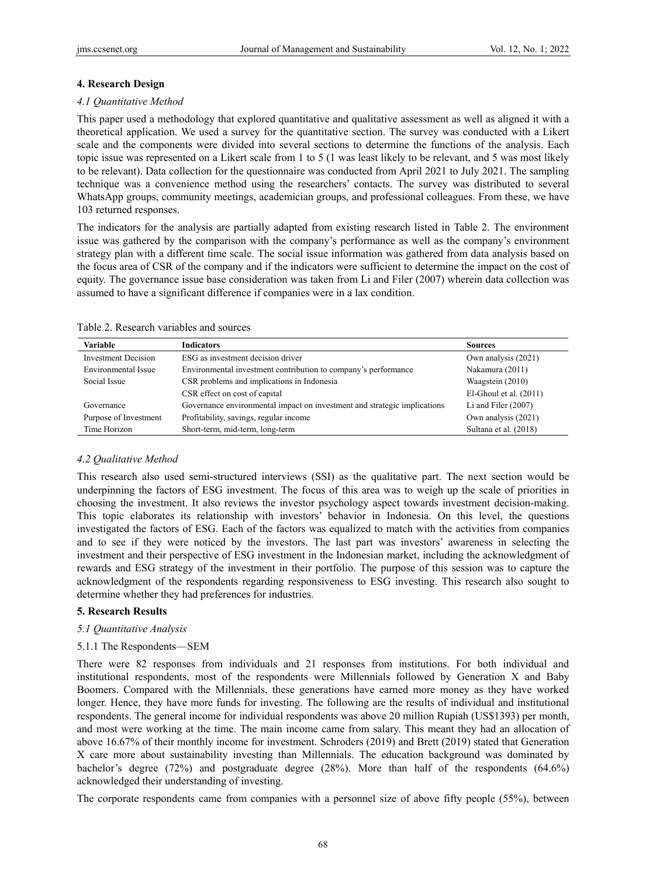### **4. Research Design**

#### *4.1 Quantitative Method*

This paper used a methodology that explored quantitative and qualitative assessment as well as aligned it with a theoretical application. We used a survey for the quantitative section. The survey was conducted with a Likert scale and the components were divided into several sections to determine the functions of the analysis. Each topic issue was represented on a Likert scale from 1 to 5 (1 was least likely to be relevant, and 5 was most likely to be relevant). Data collection for the questionnaire was conducted from April 2021 to July 2021. The sampling technique was a convenience method using the researchers' contacts. The survey was distributed to several WhatsApp groups, community meetings, academician groups, and professional colleagues. From these, we have 103 returned responses.

The indicators for the analysis are partially adapted from existing research listed in Table 2. The environment issue was gathered by the comparison with the company's performance as well as the company's environment strategy plan with a different time scale. The social issue information was gathered from data analysis based on the focus area of CSR of the company and if the indicators were sufficient to determine the impact on the cost of equity. The governance issue base consideration was taken from Li and Filer (2007) wherein data collection was assumed to have a significant difference if companies were in a lax condition.

#### Table 2. Research variables and sources

| Variable                   | <b>Indicators</b>                                                        | <b>Sources</b>           |
|----------------------------|--------------------------------------------------------------------------|--------------------------|
| <b>Investment Decision</b> | ESG as investment decision driver                                        | Own analysis (2021)      |
| Environmental Issue        | Environmental investment contribution to company's performance           | Nakamura (2011)          |
| Social Issue               | CSR problems and implications in Indonesia                               | Waagstein (2010)         |
|                            | CSR effect on cost of capital                                            | El-Ghoul et al. $(2011)$ |
| Governance                 | Governance environmental impact on investment and strategic implications | Li and Filer $(2007)$    |
| Purpose of Investment      | Profitability, savings, regular income                                   | Own analysis (2021)      |
| Time Horizon               | Short-term, mid-term, long-term                                          | Sultana et al. (2018)    |

# *4.2 Qualitative Method*

This research also used semi-structured interviews (SSI) as the qualitative part. The next section would be underpinning the factors of ESG investment. The focus of this area was to weigh up the scale of priorities in choosing the investment. It also reviews the investor psychology aspect towards investment decision-making. This topic elaborates its relationship with investors' behavior in Indonesia. On this level, the questions investigated the factors of ESG. Each of the factors was equalized to match with the activities from companies and to see if they were noticed by the investors. The last part was investors' awareness in selecting the investment and their perspective of ESG investment in the Indonesian market, including the acknowledgment of rewards and ESG strategy of the investment in their portfolio. The purpose of this session was to capture the acknowledgment of the respondents regarding responsiveness to ESG investing. This research also sought to determine whether they had preferences for industries.

#### **5. Research Results**

#### *5.1 Quantitative Analysis*

#### 5.1.1 The Respondents—SEM

There were 82 responses from individuals and 21 responses from institutions. For both individual and institutional respondents, most of the respondents were Millennials followed by Generation X and Baby Boomers. Compared with the Millennials, these generations have earned more money as they have worked longer. Hence, they have more funds for investing. The following are the results of individual and institutional respondents. The general income for individual respondents was above 20 million Rupiah (US\$1393) per month, and most were working at the time. The main income came from salary. This meant they had an allocation of above 16.67% of their monthly income for investment. Schroders (2019) and Brett (2019) stated that Generation X care more about sustainability investing than Millennials. The education background was dominated by bachelor's degree (72%) and postgraduate degree (28%). More than half of the respondents (64.6%) acknowledged their understanding of investing.

The corporate respondents came from companies with a personnel size of above fifty people (55%), between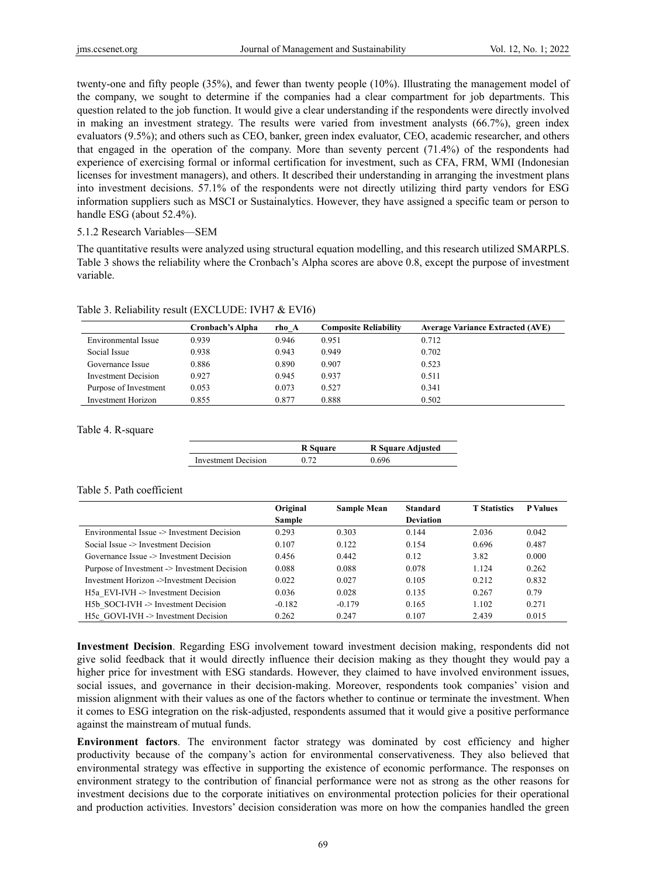twenty-one and fifty people (35%), and fewer than twenty people (10%). Illustrating the management model of the company, we sought to determine if the companies had a clear compartment for job departments. This question related to the job function. It would give a clear understanding if the respondents were directly involved in making an investment strategy. The results were varied from investment analysts (66.7%), green index evaluators (9.5%); and others such as CEO, banker, green index evaluator, CEO, academic researcher, and others that engaged in the operation of the company. More than seventy percent (71.4%) of the respondents had experience of exercising formal or informal certification for investment, such as CFA, FRM, WMI (Indonesian licenses for investment managers), and others. It described their understanding in arranging the investment plans into investment decisions. 57.1% of the respondents were not directly utilizing third party vendors for ESG information suppliers such as MSCI or Sustainalytics. However, they have assigned a specific team or person to handle ESG (about 52.4%).

#### 5.1.2 Research Variables—SEM

The quantitative results were analyzed using structural equation modelling, and this research utilized SMARPLS. Table 3 shows the reliability where the Cronbach's Alpha scores are above 0.8, except the purpose of investment variable.

|                       | Cronbach's Alpha | rho A | <b>Composite Reliability</b> | <b>Average Variance Extracted (AVE)</b> |
|-----------------------|------------------|-------|------------------------------|-----------------------------------------|
| Environmental Issue   | 0.939            | 0.946 | 0.951                        | 0.712                                   |
| Social Issue          | 0.938            | 0.943 | 0.949                        | 0.702                                   |
| Governance Issue      | 0.886            | 0.890 | 0.907                        | 0.523                                   |
| Investment Decision   | 0.927            | 0.945 | 0.937                        | 0.511                                   |
| Purpose of Investment | 0.053            | 0.073 | 0.527                        | 0.341                                   |
| Investment Horizon    | 0.855            | 0.877 | 0.888                        | 0.502                                   |

#### Table 3. Reliability result (EXCLUDE: IVH7 & EVI6)

Table 4. R-square

|                     | R Square | R Square Adjusted |
|---------------------|----------|-------------------|
| Investment Decision | 0.72     | ባ 696             |

## Table 5. Path coefficient

|                                              | Original | <b>Sample Mean</b> | <b>Standard</b>  | <b>T</b> Statistics | <b>P</b> Values |
|----------------------------------------------|----------|--------------------|------------------|---------------------|-----------------|
|                                              | Sample   |                    | <b>Deviation</b> |                     |                 |
| Environmental Issue -> Investment Decision   | 0.293    | 0.303              | 0.144            | 2.036               | 0.042           |
| Social Issue -> Investment Decision          | 0.107    | 0.122              | 0.154            | 0.696               | 0.487           |
| Governance Issue -> Investment Decision      | 0.456    | 0.442              | 0.12             | 3.82                | 0.000           |
| Purpose of Investment -> Investment Decision | 0.088    | 0.088              | 0.078            | 1.124               | 0.262           |
| Investment Horizon ->Investment Decision     | 0.022    | 0.027              | 0.105            | 0.212               | 0.832           |
| H5a EVI-IVH -> Investment Decision           | 0.036    | 0.028              | 0.135            | 0.267               | 0.79            |
| H5b SOCI-IVH -> Investment Decision          | $-0.182$ | $-0.179$           | 0.165            | 1.102               | 0.271           |
| $H5c$ GOVI-IVH $\geq$ Investment Decision    | 0.262    | 0.247              | 0.107            | 2.439               | 0.015           |

**Investment Decision**. Regarding ESG involvement toward investment decision making, respondents did not give solid feedback that it would directly influence their decision making as they thought they would pay a higher price for investment with ESG standards. However, they claimed to have involved environment issues, social issues, and governance in their decision-making. Moreover, respondents took companies' vision and mission alignment with their values as one of the factors whether to continue or terminate the investment. When it comes to ESG integration on the risk-adjusted, respondents assumed that it would give a positive performance against the mainstream of mutual funds.

**Environment factors**. The environment factor strategy was dominated by cost efficiency and higher productivity because of the company's action for environmental conservativeness. They also believed that environmental strategy was effective in supporting the existence of economic performance. The responses on environment strategy to the contribution of financial performance were not as strong as the other reasons for investment decisions due to the corporate initiatives on environmental protection policies for their operational and production activities. Investors' decision consideration was more on how the companies handled the green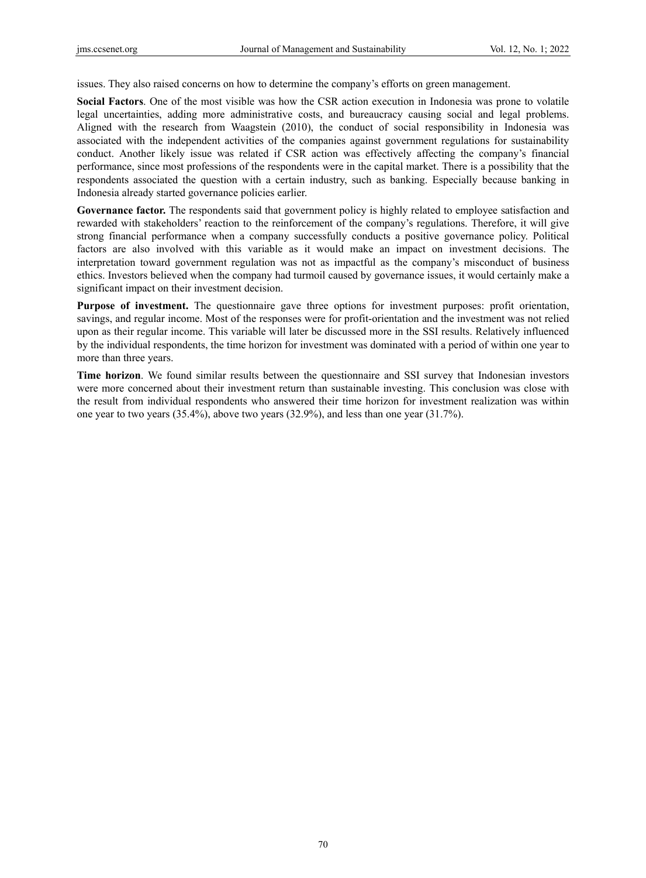issues. They also raised concerns on how to determine the company's efforts on green management.

**Social Factors**. One of the most visible was how the CSR action execution in Indonesia was prone to volatile legal uncertainties, adding more administrative costs, and bureaucracy causing social and legal problems. Aligned with the research from Waagstein (2010), the conduct of social responsibility in Indonesia was associated with the independent activities of the companies against government regulations for sustainability conduct. Another likely issue was related if CSR action was effectively affecting the company's financial performance, since most professions of the respondents were in the capital market. There is a possibility that the respondents associated the question with a certain industry, such as banking. Especially because banking in Indonesia already started governance policies earlier.

**Governance factor.** The respondents said that government policy is highly related to employee satisfaction and rewarded with stakeholders' reaction to the reinforcement of the company's regulations. Therefore, it will give strong financial performance when a company successfully conducts a positive governance policy. Political factors are also involved with this variable as it would make an impact on investment decisions. The interpretation toward government regulation was not as impactful as the company's misconduct of business ethics. Investors believed when the company had turmoil caused by governance issues, it would certainly make a significant impact on their investment decision.

**Purpose of investment.** The questionnaire gave three options for investment purposes: profit orientation, savings, and regular income. Most of the responses were for profit-orientation and the investment was not relied upon as their regular income. This variable will later be discussed more in the SSI results. Relatively influenced by the individual respondents, the time horizon for investment was dominated with a period of within one year to more than three years.

**Time horizon**. We found similar results between the questionnaire and SSI survey that Indonesian investors were more concerned about their investment return than sustainable investing. This conclusion was close with the result from individual respondents who answered their time horizon for investment realization was within one year to two years (35.4%), above two years (32.9%), and less than one year (31.7%).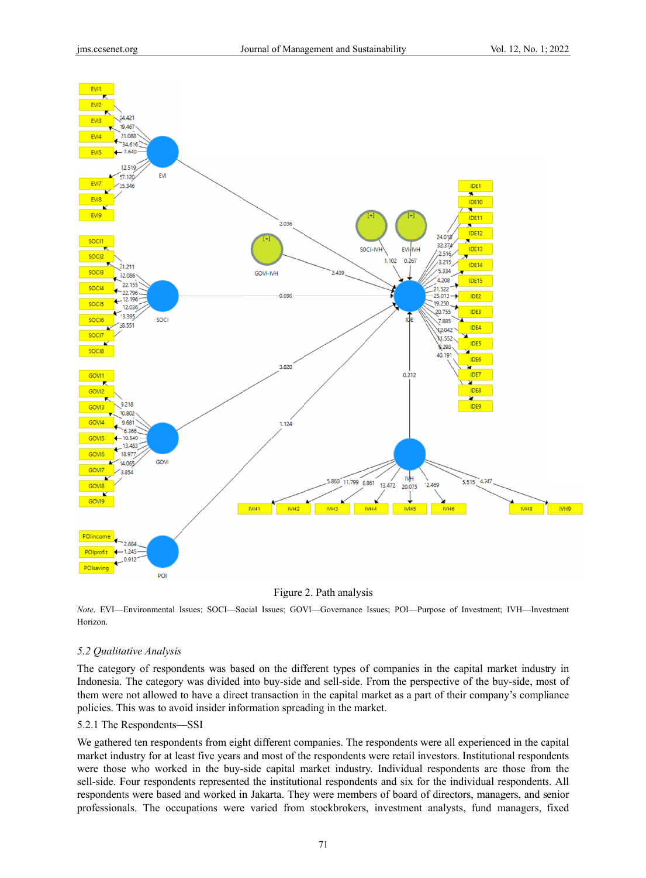

Figure 2. Path analysis

Note. EVI—Environmental Issues; SOCI—Social Issues; GOVI—Governance Issues; POI—Purpose of Investment; IVH—Investment Horizon.

# 5.2 Qualitative Analysis

The category of respondents was based on the different types of companies in the capital market industry in Indonesia. The category was divided into buy-side and sell-side. From the perspective of the buy-side, most of them were not allowed to have a direct transaction in the capital market as a part of their company's compliance policies. This was to avoid insider information spreading in the market.

#### 5.2.1 The R Respondents— —SSI

We gathered ten respondents from eight different companies. The respondents were all experienced in the capital market industry for at least five years and most of the respondents were retail investors. Institutional respondents were those who worked in the buy-side capital market industry. Individual respondents are those from the sell-side. Four respondents represented the institutional respondents and six for the individual respondents. All respondents were based and worked in Jakarta. They were members of board of directors, managers, and senior professionals. The occupations were varied from stockbrokers, investment analysts, fund managers, fixed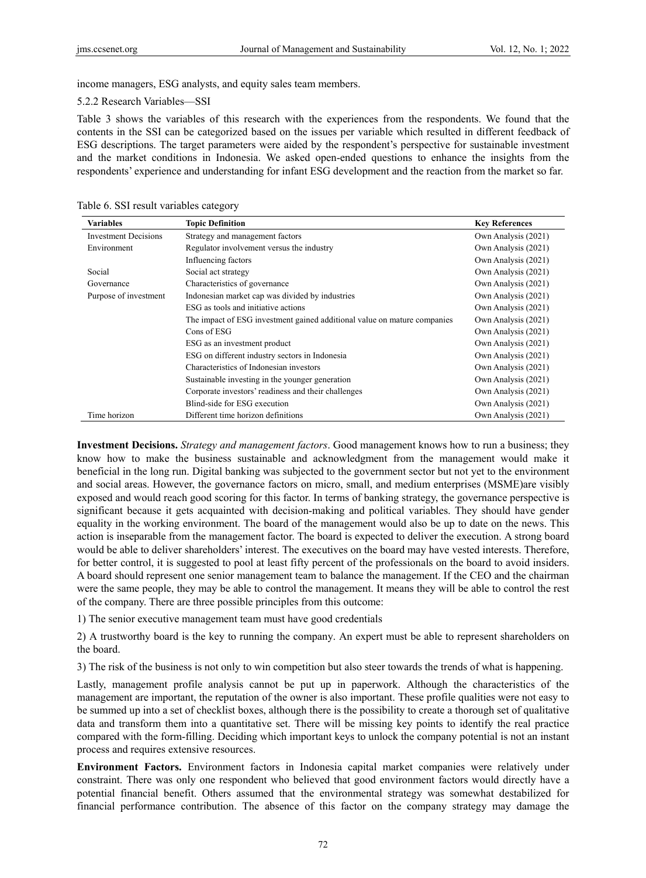income managers, ESG analysts, and equity sales team members.

#### 5.2.2 Research Variables—SSI

Table 3 shows the variables of this research with the experiences from the respondents. We found that the contents in the SSI can be categorized based on the issues per variable which resulted in different feedback of ESG descriptions. The target parameters were aided by the respondent's perspective for sustainable investment and the market conditions in Indonesia. We asked open-ended questions to enhance the insights from the respondents' experience and understanding for infant ESG development and the reaction from the market so far.

Table 6. SSI result variables category

| <b>Variables</b>            | <b>Topic Definition</b>                                                  | <b>Key References</b> |
|-----------------------------|--------------------------------------------------------------------------|-----------------------|
| <b>Investment Decisions</b> | Strategy and management factors                                          | Own Analysis (2021)   |
| Environment                 | Regulator involvement versus the industry                                | Own Analysis (2021)   |
|                             | Influencing factors                                                      | Own Analysis (2021)   |
| Social                      | Social act strategy                                                      | Own Analysis (2021)   |
| Governance                  | Characteristics of governance                                            | Own Analysis (2021)   |
| Purpose of investment       | Indonesian market cap was divided by industries                          | Own Analysis (2021)   |
|                             | ESG as tools and initiative actions                                      | Own Analysis (2021)   |
|                             | The impact of ESG investment gained additional value on mature companies | Own Analysis (2021)   |
|                             | Cons of ESG                                                              | Own Analysis (2021)   |
|                             | ESG as an investment product                                             | Own Analysis (2021)   |
|                             | ESG on different industry sectors in Indonesia                           | Own Analysis (2021)   |
|                             | Characteristics of Indonesian investors                                  | Own Analysis (2021)   |
|                             | Sustainable investing in the younger generation                          | Own Analysis (2021)   |
|                             | Corporate investors' readiness and their challenges                      | Own Analysis (2021)   |
|                             | Blind-side for ESG execution                                             | Own Analysis (2021)   |
| Time horizon                | Different time horizon definitions                                       | Own Analysis (2021)   |

**Investment Decisions.** *Strategy and management factors*. Good management knows how to run a business; they know how to make the business sustainable and acknowledgment from the management would make it beneficial in the long run. Digital banking was subjected to the government sector but not yet to the environment and social areas. However, the governance factors on micro, small, and medium enterprises (MSME)are visibly exposed and would reach good scoring for this factor. In terms of banking strategy, the governance perspective is significant because it gets acquainted with decision-making and political variables. They should have gender equality in the working environment. The board of the management would also be up to date on the news. This action is inseparable from the management factor. The board is expected to deliver the execution. A strong board would be able to deliver shareholders' interest. The executives on the board may have vested interests. Therefore, for better control, it is suggested to pool at least fifty percent of the professionals on the board to avoid insiders. A board should represent one senior management team to balance the management. If the CEO and the chairman were the same people, they may be able to control the management. It means they will be able to control the rest of the company. There are three possible principles from this outcome:

1) The senior executive management team must have good credentials

2) A trustworthy board is the key to running the company. An expert must be able to represent shareholders on the board.

3) The risk of the business is not only to win competition but also steer towards the trends of what is happening.

Lastly, management profile analysis cannot be put up in paperwork. Although the characteristics of the management are important, the reputation of the owner is also important. These profile qualities were not easy to be summed up into a set of checklist boxes, although there is the possibility to create a thorough set of qualitative data and transform them into a quantitative set. There will be missing key points to identify the real practice compared with the form-filling. Deciding which important keys to unlock the company potential is not an instant process and requires extensive resources.

**Environment Factors.** Environment factors in Indonesia capital market companies were relatively under constraint. There was only one respondent who believed that good environment factors would directly have a potential financial benefit. Others assumed that the environmental strategy was somewhat destabilized for financial performance contribution. The absence of this factor on the company strategy may damage the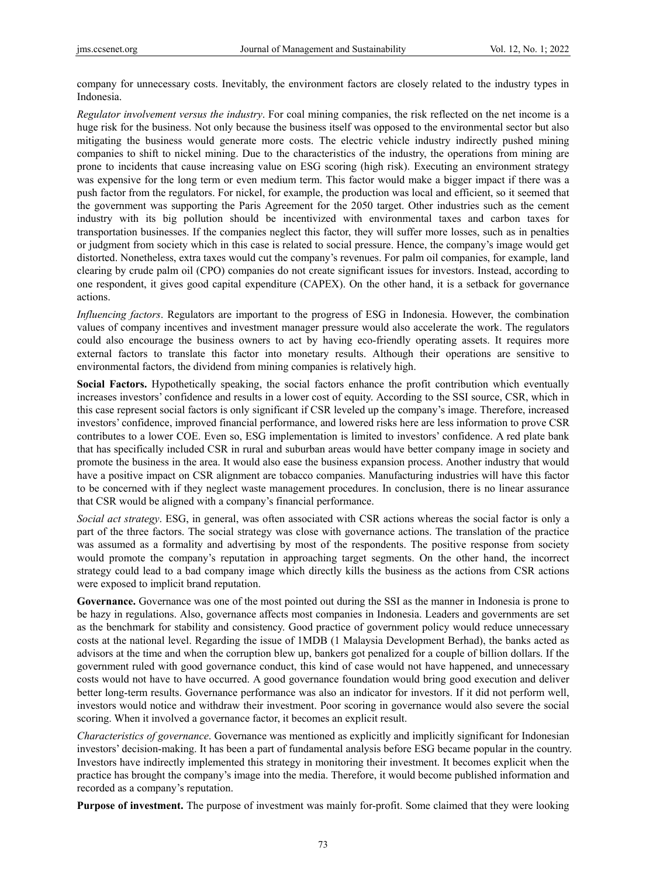company for unnecessary costs. Inevitably, the environment factors are closely related to the industry types in Indonesia.

*Regulator involvement versus the industry*. For coal mining companies, the risk reflected on the net income is a huge risk for the business. Not only because the business itself was opposed to the environmental sector but also mitigating the business would generate more costs. The electric vehicle industry indirectly pushed mining companies to shift to nickel mining. Due to the characteristics of the industry, the operations from mining are prone to incidents that cause increasing value on ESG scoring (high risk). Executing an environment strategy was expensive for the long term or even medium term. This factor would make a bigger impact if there was a push factor from the regulators. For nickel, for example, the production was local and efficient, so it seemed that the government was supporting the Paris Agreement for the 2050 target. Other industries such as the cement industry with its big pollution should be incentivized with environmental taxes and carbon taxes for transportation businesses. If the companies neglect this factor, they will suffer more losses, such as in penalties or judgment from society which in this case is related to social pressure. Hence, the company's image would get distorted. Nonetheless, extra taxes would cut the company's revenues. For palm oil companies, for example, land clearing by crude palm oil (CPO) companies do not create significant issues for investors. Instead, according to one respondent, it gives good capital expenditure (CAPEX). On the other hand, it is a setback for governance actions.

*Influencing factors*. Regulators are important to the progress of ESG in Indonesia. However, the combination values of company incentives and investment manager pressure would also accelerate the work. The regulators could also encourage the business owners to act by having eco-friendly operating assets. It requires more external factors to translate this factor into monetary results. Although their operations are sensitive to environmental factors, the dividend from mining companies is relatively high.

**Social Factors.** Hypothetically speaking, the social factors enhance the profit contribution which eventually increases investors' confidence and results in a lower cost of equity. According to the SSI source, CSR, which in this case represent social factors is only significant if CSR leveled up the company's image. Therefore, increased investors' confidence, improved financial performance, and lowered risks here are less information to prove CSR contributes to a lower COE. Even so, ESG implementation is limited to investors' confidence. A red plate bank that has specifically included CSR in rural and suburban areas would have better company image in society and promote the business in the area. It would also ease the business expansion process. Another industry that would have a positive impact on CSR alignment are tobacco companies. Manufacturing industries will have this factor to be concerned with if they neglect waste management procedures. In conclusion, there is no linear assurance that CSR would be aligned with a company's financial performance.

*Social act strategy*. ESG, in general, was often associated with CSR actions whereas the social factor is only a part of the three factors. The social strategy was close with governance actions. The translation of the practice was assumed as a formality and advertising by most of the respondents. The positive response from society would promote the company's reputation in approaching target segments. On the other hand, the incorrect strategy could lead to a bad company image which directly kills the business as the actions from CSR actions were exposed to implicit brand reputation.

**Governance.** Governance was one of the most pointed out during the SSI as the manner in Indonesia is prone to be hazy in regulations. Also, governance affects most companies in Indonesia. Leaders and governments are set as the benchmark for stability and consistency. Good practice of government policy would reduce unnecessary costs at the national level. Regarding the issue of 1MDB (1 Malaysia Development Berhad), the banks acted as advisors at the time and when the corruption blew up, bankers got penalized for a couple of billion dollars. If the government ruled with good governance conduct, this kind of case would not have happened, and unnecessary costs would not have to have occurred. A good governance foundation would bring good execution and deliver better long-term results. Governance performance was also an indicator for investors. If it did not perform well, investors would notice and withdraw their investment. Poor scoring in governance would also severe the social scoring. When it involved a governance factor, it becomes an explicit result.

*Characteristics of governance*. Governance was mentioned as explicitly and implicitly significant for Indonesian investors' decision-making. It has been a part of fundamental analysis before ESG became popular in the country. Investors have indirectly implemented this strategy in monitoring their investment. It becomes explicit when the practice has brought the company's image into the media. Therefore, it would become published information and recorded as a company's reputation.

**Purpose of investment.** The purpose of investment was mainly for-profit. Some claimed that they were looking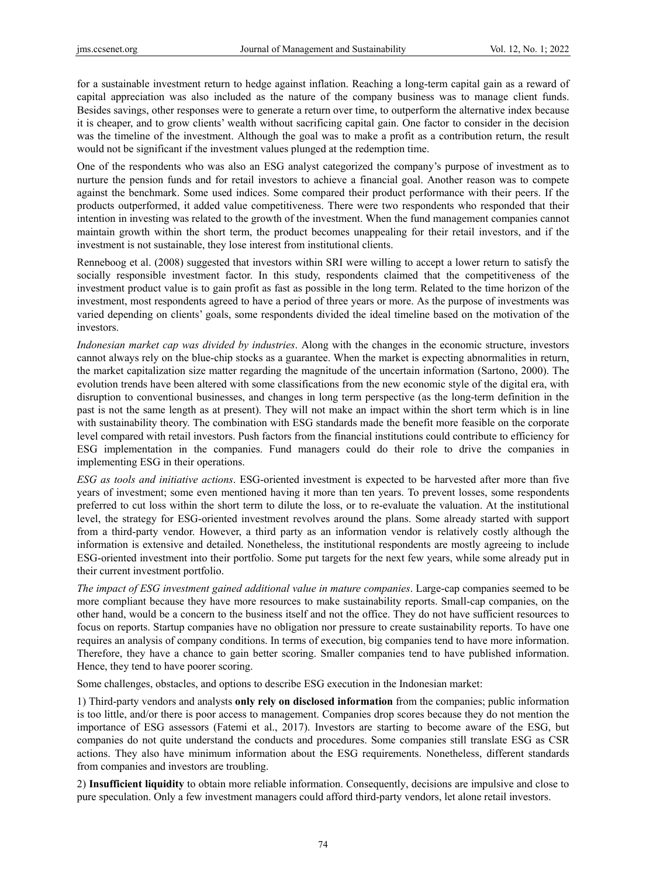for a sustainable investment return to hedge against inflation. Reaching a long-term capital gain as a reward of capital appreciation was also included as the nature of the company business was to manage client funds. Besides savings, other responses were to generate a return over time, to outperform the alternative index because it is cheaper, and to grow clients' wealth without sacrificing capital gain. One factor to consider in the decision was the timeline of the investment. Although the goal was to make a profit as a contribution return, the result would not be significant if the investment values plunged at the redemption time.

One of the respondents who was also an ESG analyst categorized the company's purpose of investment as to nurture the pension funds and for retail investors to achieve a financial goal. Another reason was to compete against the benchmark. Some used indices. Some compared their product performance with their peers. If the products outperformed, it added value competitiveness. There were two respondents who responded that their intention in investing was related to the growth of the investment. When the fund management companies cannot maintain growth within the short term, the product becomes unappealing for their retail investors, and if the investment is not sustainable, they lose interest from institutional clients.

Renneboog et al. (2008) suggested that investors within SRI were willing to accept a lower return to satisfy the socially responsible investment factor. In this study, respondents claimed that the competitiveness of the investment product value is to gain profit as fast as possible in the long term. Related to the time horizon of the investment, most respondents agreed to have a period of three years or more. As the purpose of investments was varied depending on clients' goals, some respondents divided the ideal timeline based on the motivation of the investors.

*Indonesian market cap was divided by industries*. Along with the changes in the economic structure, investors cannot always rely on the blue-chip stocks as a guarantee. When the market is expecting abnormalities in return, the market capitalization size matter regarding the magnitude of the uncertain information (Sartono, 2000). The evolution trends have been altered with some classifications from the new economic style of the digital era, with disruption to conventional businesses, and changes in long term perspective (as the long-term definition in the past is not the same length as at present). They will not make an impact within the short term which is in line with sustainability theory. The combination with ESG standards made the benefit more feasible on the corporate level compared with retail investors. Push factors from the financial institutions could contribute to efficiency for ESG implementation in the companies. Fund managers could do their role to drive the companies in implementing ESG in their operations.

*ESG as tools and initiative actions*. ESG-oriented investment is expected to be harvested after more than five years of investment; some even mentioned having it more than ten years. To prevent losses, some respondents preferred to cut loss within the short term to dilute the loss, or to re-evaluate the valuation. At the institutional level, the strategy for ESG-oriented investment revolves around the plans. Some already started with support from a third-party vendor. However, a third party as an information vendor is relatively costly although the information is extensive and detailed. Nonetheless, the institutional respondents are mostly agreeing to include ESG-oriented investment into their portfolio. Some put targets for the next few years, while some already put in their current investment portfolio.

*The impact of ESG investment gained additional value in mature companies*. Large-cap companies seemed to be more compliant because they have more resources to make sustainability reports. Small-cap companies, on the other hand, would be a concern to the business itself and not the office. They do not have sufficient resources to focus on reports. Startup companies have no obligation nor pressure to create sustainability reports. To have one requires an analysis of company conditions. In terms of execution, big companies tend to have more information. Therefore, they have a chance to gain better scoring. Smaller companies tend to have published information. Hence, they tend to have poorer scoring.

Some challenges, obstacles, and options to describe ESG execution in the Indonesian market:

1) Third-party vendors and analysts **only rely on disclosed information** from the companies; public information is too little, and/or there is poor access to management. Companies drop scores because they do not mention the importance of ESG assessors (Fatemi et al., 2017). Investors are starting to become aware of the ESG, but companies do not quite understand the conducts and procedures. Some companies still translate ESG as CSR actions. They also have minimum information about the ESG requirements. Nonetheless, different standards from companies and investors are troubling.

2) **Insufficient liquidity** to obtain more reliable information. Consequently, decisions are impulsive and close to pure speculation. Only a few investment managers could afford third-party vendors, let alone retail investors.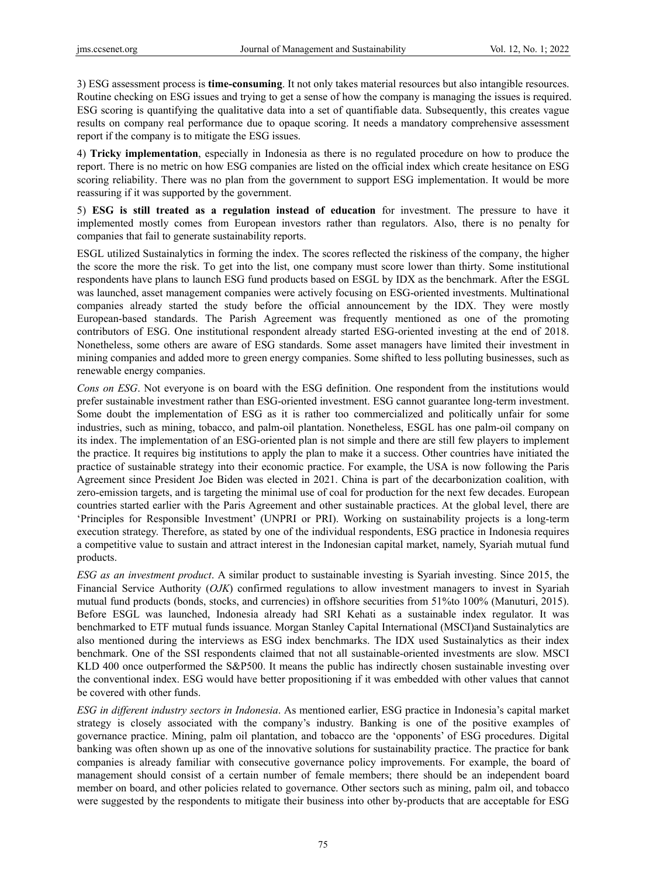3) ESG assessment process is **time-consuming**. It not only takes material resources but also intangible resources. Routine checking on ESG issues and trying to get a sense of how the company is managing the issues is required. ESG scoring is quantifying the qualitative data into a set of quantifiable data. Subsequently, this creates vague results on company real performance due to opaque scoring. It needs a mandatory comprehensive assessment report if the company is to mitigate the ESG issues.

4) **Tricky implementation**, especially in Indonesia as there is no regulated procedure on how to produce the report. There is no metric on how ESG companies are listed on the official index which create hesitance on ESG scoring reliability. There was no plan from the government to support ESG implementation. It would be more reassuring if it was supported by the government.

5) **ESG is still treated as a regulation instead of education** for investment. The pressure to have it implemented mostly comes from European investors rather than regulators. Also, there is no penalty for companies that fail to generate sustainability reports.

ESGL utilized Sustainalytics in forming the index. The scores reflected the riskiness of the company, the higher the score the more the risk. To get into the list, one company must score lower than thirty. Some institutional respondents have plans to launch ESG fund products based on ESGL by IDX as the benchmark. After the ESGL was launched, asset management companies were actively focusing on ESG-oriented investments. Multinational companies already started the study before the official announcement by the IDX. They were mostly European-based standards. The Parish Agreement was frequently mentioned as one of the promoting contributors of ESG. One institutional respondent already started ESG-oriented investing at the end of 2018. Nonetheless, some others are aware of ESG standards. Some asset managers have limited their investment in mining companies and added more to green energy companies. Some shifted to less polluting businesses, such as renewable energy companies.

*Cons on ESG*. Not everyone is on board with the ESG definition. One respondent from the institutions would prefer sustainable investment rather than ESG-oriented investment. ESG cannot guarantee long-term investment. Some doubt the implementation of ESG as it is rather too commercialized and politically unfair for some industries, such as mining, tobacco, and palm-oil plantation. Nonetheless, ESGL has one palm-oil company on its index. The implementation of an ESG-oriented plan is not simple and there are still few players to implement the practice. It requires big institutions to apply the plan to make it a success. Other countries have initiated the practice of sustainable strategy into their economic practice. For example, the USA is now following the Paris Agreement since President Joe Biden was elected in 2021. China is part of the decarbonization coalition, with zero-emission targets, and is targeting the minimal use of coal for production for the next few decades. European countries started earlier with the Paris Agreement and other sustainable practices. At the global level, there are 'Principles for Responsible Investment' (UNPRI or PRI). Working on sustainability projects is a long-term execution strategy. Therefore, as stated by one of the individual respondents, ESG practice in Indonesia requires a competitive value to sustain and attract interest in the Indonesian capital market, namely, Syariah mutual fund products.

*ESG as an investment product*. A similar product to sustainable investing is Syariah investing. Since 2015, the Financial Service Authority (*OJK*) confirmed regulations to allow investment managers to invest in Syariah mutual fund products (bonds, stocks, and currencies) in offshore securities from 51%to 100% (Manuturi, 2015). Before ESGL was launched, Indonesia already had SRI Kehati as a sustainable index regulator. It was benchmarked to ETF mutual funds issuance. Morgan Stanley Capital International (MSCI)and Sustainalytics are also mentioned during the interviews as ESG index benchmarks. The IDX used Sustainalytics as their index benchmark. One of the SSI respondents claimed that not all sustainable-oriented investments are slow. MSCI KLD 400 once outperformed the S&P500. It means the public has indirectly chosen sustainable investing over the conventional index. ESG would have better propositioning if it was embedded with other values that cannot be covered with other funds.

*ESG in different industry sectors in Indonesia*. As mentioned earlier, ESG practice in Indonesia's capital market strategy is closely associated with the company's industry. Banking is one of the positive examples of governance practice. Mining, palm oil plantation, and tobacco are the 'opponents' of ESG procedures. Digital banking was often shown up as one of the innovative solutions for sustainability practice. The practice for bank companies is already familiar with consecutive governance policy improvements. For example, the board of management should consist of a certain number of female members; there should be an independent board member on board, and other policies related to governance. Other sectors such as mining, palm oil, and tobacco were suggested by the respondents to mitigate their business into other by-products that are acceptable for ESG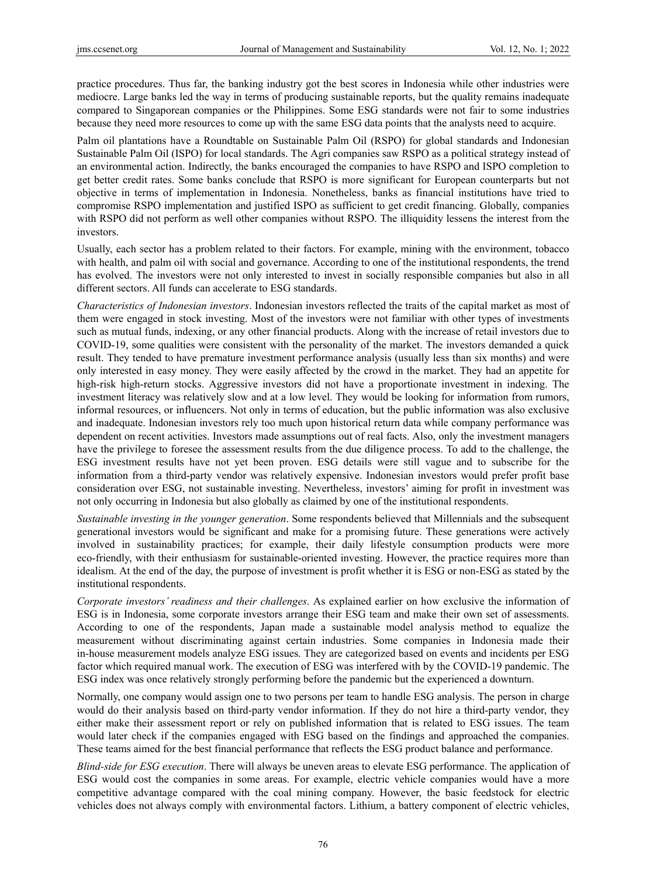practice procedures. Thus far, the banking industry got the best scores in Indonesia while other industries were mediocre. Large banks led the way in terms of producing sustainable reports, but the quality remains inadequate compared to Singaporean companies or the Philippines. Some ESG standards were not fair to some industries because they need more resources to come up with the same ESG data points that the analysts need to acquire.

Palm oil plantations have a Roundtable on Sustainable Palm Oil (RSPO) for global standards and Indonesian Sustainable Palm Oil (ISPO) for local standards. The Agri companies saw RSPO as a political strategy instead of an environmental action. Indirectly, the banks encouraged the companies to have RSPO and ISPO completion to get better credit rates. Some banks conclude that RSPO is more significant for European counterparts but not objective in terms of implementation in Indonesia. Nonetheless, banks as financial institutions have tried to compromise RSPO implementation and justified ISPO as sufficient to get credit financing. Globally, companies with RSPO did not perform as well other companies without RSPO. The illiquidity lessens the interest from the investors.

Usually, each sector has a problem related to their factors. For example, mining with the environment, tobacco with health, and palm oil with social and governance. According to one of the institutional respondents, the trend has evolved. The investors were not only interested to invest in socially responsible companies but also in all different sectors. All funds can accelerate to ESG standards.

*Characteristics of Indonesian investors*. Indonesian investors reflected the traits of the capital market as most of them were engaged in stock investing. Most of the investors were not familiar with other types of investments such as mutual funds, indexing, or any other financial products. Along with the increase of retail investors due to COVID-19, some qualities were consistent with the personality of the market. The investors demanded a quick result. They tended to have premature investment performance analysis (usually less than six months) and were only interested in easy money. They were easily affected by the crowd in the market. They had an appetite for high-risk high-return stocks. Aggressive investors did not have a proportionate investment in indexing. The investment literacy was relatively slow and at a low level. They would be looking for information from rumors, informal resources, or influencers. Not only in terms of education, but the public information was also exclusive and inadequate. Indonesian investors rely too much upon historical return data while company performance was dependent on recent activities. Investors made assumptions out of real facts. Also, only the investment managers have the privilege to foresee the assessment results from the due diligence process. To add to the challenge, the ESG investment results have not yet been proven. ESG details were still vague and to subscribe for the information from a third-party vendor was relatively expensive. Indonesian investors would prefer profit base consideration over ESG, not sustainable investing. Nevertheless, investors' aiming for profit in investment was not only occurring in Indonesia but also globally as claimed by one of the institutional respondents.

*Sustainable investing in the younger generation*. Some respondents believed that Millennials and the subsequent generational investors would be significant and make for a promising future. These generations were actively involved in sustainability practices; for example, their daily lifestyle consumption products were more eco-friendly, with their enthusiasm for sustainable-oriented investing. However, the practice requires more than idealism. At the end of the day, the purpose of investment is profit whether it is ESG or non-ESG as stated by the institutional respondents.

*Corporate investors' readiness and their challenges*. As explained earlier on how exclusive the information of ESG is in Indonesia, some corporate investors arrange their ESG team and make their own set of assessments. According to one of the respondents, Japan made a sustainable model analysis method to equalize the measurement without discriminating against certain industries. Some companies in Indonesia made their in-house measurement models analyze ESG issues. They are categorized based on events and incidents per ESG factor which required manual work. The execution of ESG was interfered with by the COVID-19 pandemic. The ESG index was once relatively strongly performing before the pandemic but the experienced a downturn.

Normally, one company would assign one to two persons per team to handle ESG analysis. The person in charge would do their analysis based on third-party vendor information. If they do not hire a third-party vendor, they either make their assessment report or rely on published information that is related to ESG issues. The team would later check if the companies engaged with ESG based on the findings and approached the companies. These teams aimed for the best financial performance that reflects the ESG product balance and performance.

*Blind-side for ESG execution*. There will always be uneven areas to elevate ESG performance. The application of ESG would cost the companies in some areas. For example, electric vehicle companies would have a more competitive advantage compared with the coal mining company. However, the basic feedstock for electric vehicles does not always comply with environmental factors. Lithium, a battery component of electric vehicles,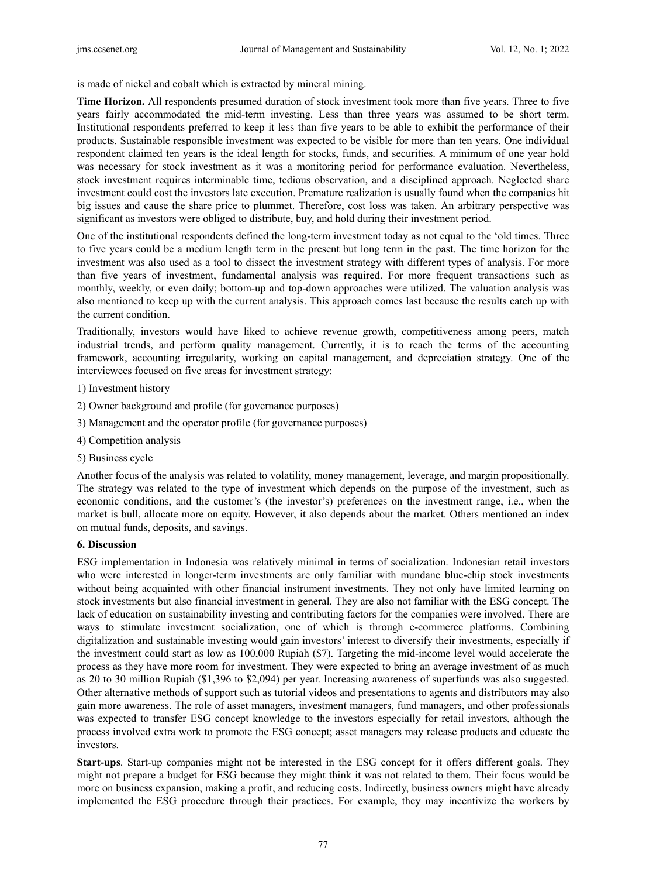is made of nickel and cobalt which is extracted by mineral mining.

**Time Horizon.** All respondents presumed duration of stock investment took more than five years. Three to five years fairly accommodated the mid-term investing. Less than three years was assumed to be short term. Institutional respondents preferred to keep it less than five years to be able to exhibit the performance of their products. Sustainable responsible investment was expected to be visible for more than ten years. One individual respondent claimed ten years is the ideal length for stocks, funds, and securities. A minimum of one year hold was necessary for stock investment as it was a monitoring period for performance evaluation. Nevertheless, stock investment requires interminable time, tedious observation, and a disciplined approach. Neglected share investment could cost the investors late execution. Premature realization is usually found when the companies hit big issues and cause the share price to plummet. Therefore, cost loss was taken. An arbitrary perspective was significant as investors were obliged to distribute, buy, and hold during their investment period.

One of the institutional respondents defined the long-term investment today as not equal to the 'old times. Three to five years could be a medium length term in the present but long term in the past. The time horizon for the investment was also used as a tool to dissect the investment strategy with different types of analysis. For more than five years of investment, fundamental analysis was required. For more frequent transactions such as monthly, weekly, or even daily; bottom-up and top-down approaches were utilized. The valuation analysis was also mentioned to keep up with the current analysis. This approach comes last because the results catch up with the current condition.

Traditionally, investors would have liked to achieve revenue growth, competitiveness among peers, match industrial trends, and perform quality management. Currently, it is to reach the terms of the accounting framework, accounting irregularity, working on capital management, and depreciation strategy. One of the interviewees focused on five areas for investment strategy:

- 1) Investment history
- 2) Owner background and profile (for governance purposes)
- 3) Management and the operator profile (for governance purposes)
- 4) Competition analysis
- 5) Business cycle

Another focus of the analysis was related to volatility, money management, leverage, and margin propositionally. The strategy was related to the type of investment which depends on the purpose of the investment, such as economic conditions, and the customer's (the investor's) preferences on the investment range, i.e., when the market is bull, allocate more on equity. However, it also depends about the market. Others mentioned an index on mutual funds, deposits, and savings.

# **6. Discussion**

ESG implementation in Indonesia was relatively minimal in terms of socialization. Indonesian retail investors who were interested in longer-term investments are only familiar with mundane blue-chip stock investments without being acquainted with other financial instrument investments. They not only have limited learning on stock investments but also financial investment in general. They are also not familiar with the ESG concept. The lack of education on sustainability investing and contributing factors for the companies were involved. There are ways to stimulate investment socialization, one of which is through e-commerce platforms. Combining digitalization and sustainable investing would gain investors' interest to diversify their investments, especially if the investment could start as low as 100,000 Rupiah (\$7). Targeting the mid-income level would accelerate the process as they have more room for investment. They were expected to bring an average investment of as much as 20 to 30 million Rupiah (\$1,396 to \$2,094) per year. Increasing awareness of superfunds was also suggested. Other alternative methods of support such as tutorial videos and presentations to agents and distributors may also gain more awareness. The role of asset managers, investment managers, fund managers, and other professionals was expected to transfer ESG concept knowledge to the investors especially for retail investors, although the process involved extra work to promote the ESG concept; asset managers may release products and educate the investors.

**Start-ups**. Start-up companies might not be interested in the ESG concept for it offers different goals. They might not prepare a budget for ESG because they might think it was not related to them. Their focus would be more on business expansion, making a profit, and reducing costs. Indirectly, business owners might have already implemented the ESG procedure through their practices. For example, they may incentivize the workers by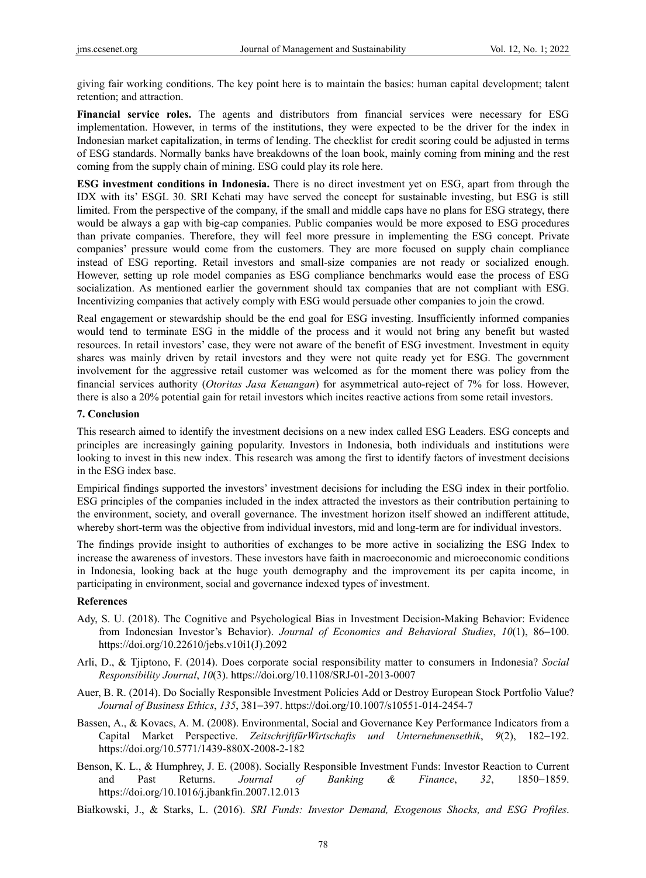giving fair working conditions. The key point here is to maintain the basics: human capital development; talent retention; and attraction.

**Financial service roles.** The agents and distributors from financial services were necessary for ESG implementation. However, in terms of the institutions, they were expected to be the driver for the index in Indonesian market capitalization, in terms of lending. The checklist for credit scoring could be adjusted in terms of ESG standards. Normally banks have breakdowns of the loan book, mainly coming from mining and the rest coming from the supply chain of mining. ESG could play its role here.

**ESG investment conditions in Indonesia.** There is no direct investment yet on ESG, apart from through the IDX with its' ESGL 30. SRI Kehati may have served the concept for sustainable investing, but ESG is still limited. From the perspective of the company, if the small and middle caps have no plans for ESG strategy, there would be always a gap with big-cap companies. Public companies would be more exposed to ESG procedures than private companies. Therefore, they will feel more pressure in implementing the ESG concept. Private companies' pressure would come from the customers. They are more focused on supply chain compliance instead of ESG reporting. Retail investors and small-size companies are not ready or socialized enough. However, setting up role model companies as ESG compliance benchmarks would ease the process of ESG socialization. As mentioned earlier the government should tax companies that are not compliant with ESG. Incentivizing companies that actively comply with ESG would persuade other companies to join the crowd.

Real engagement or stewardship should be the end goal for ESG investing. Insufficiently informed companies would tend to terminate ESG in the middle of the process and it would not bring any benefit but wasted resources. In retail investors' case, they were not aware of the benefit of ESG investment. Investment in equity shares was mainly driven by retail investors and they were not quite ready yet for ESG. The government involvement for the aggressive retail customer was welcomed as for the moment there was policy from the financial services authority (*Otoritas Jasa Keuangan*) for asymmetrical auto-reject of 7% for loss. However, there is also a 20% potential gain for retail investors which incites reactive actions from some retail investors.

#### **7. Conclusion**

This research aimed to identify the investment decisions on a new index called ESG Leaders. ESG concepts and principles are increasingly gaining popularity. Investors in Indonesia, both individuals and institutions were looking to invest in this new index. This research was among the first to identify factors of investment decisions in the ESG index base.

Empirical findings supported the investors' investment decisions for including the ESG index in their portfolio. ESG principles of the companies included in the index attracted the investors as their contribution pertaining to the environment, society, and overall governance. The investment horizon itself showed an indifferent attitude, whereby short-term was the objective from individual investors, mid and long-term are for individual investors.

The findings provide insight to authorities of exchanges to be more active in socializing the ESG Index to increase the awareness of investors. These investors have faith in macroeconomic and microeconomic conditions in Indonesia, looking back at the huge youth demography and the improvement its per capita income, in participating in environment, social and governance indexed types of investment.

## **References**

- Ady, S. U. (2018). The Cognitive and Psychological Bias in Investment Decision-Making Behavior: Evidence from Indonesian Investor's Behavior). *Journal of Economics and Behavioral Studies*, *10*(1), 86−100. https://doi.org/10.22610/jebs.v10i1(J).2092
- Arli, D., & Tjiptono, F. (2014). Does corporate social responsibility matter to consumers in Indonesia? *Social Responsibility Journal*, *10*(3). https://doi.org/10.1108/SRJ-01-2013-0007
- Auer, B. R. (2014). Do Socially Responsible Investment Policies Add or Destroy European Stock Portfolio Value? *Journal of Business Ethics*, *135*, 381−397. https://doi.org/10.1007/s10551-014-2454-7
- Bassen, A., & Kovacs, A. M. (2008). Environmental, Social and Governance Key Performance Indicators from a Capital Market Perspective. *ZeitschriftfürWirtschafts und Unternehmensethik*, *9*(2), 182−192. https://doi.org/10.5771/1439-880X-2008-2-182
- Benson, K. L., & Humphrey, J. E. (2008). Socially Responsible Investment Funds: Investor Reaction to Current and Past Returns. *Journal of Banking & Finance*, *32*, 1850−1859. https://doi.org/10.1016/j.jbankfin.2007.12.013

Białkowski, J., & Starks, L. (2016). *SRI Funds: Investor Demand, Exogenous Shocks, and ESG Profiles*.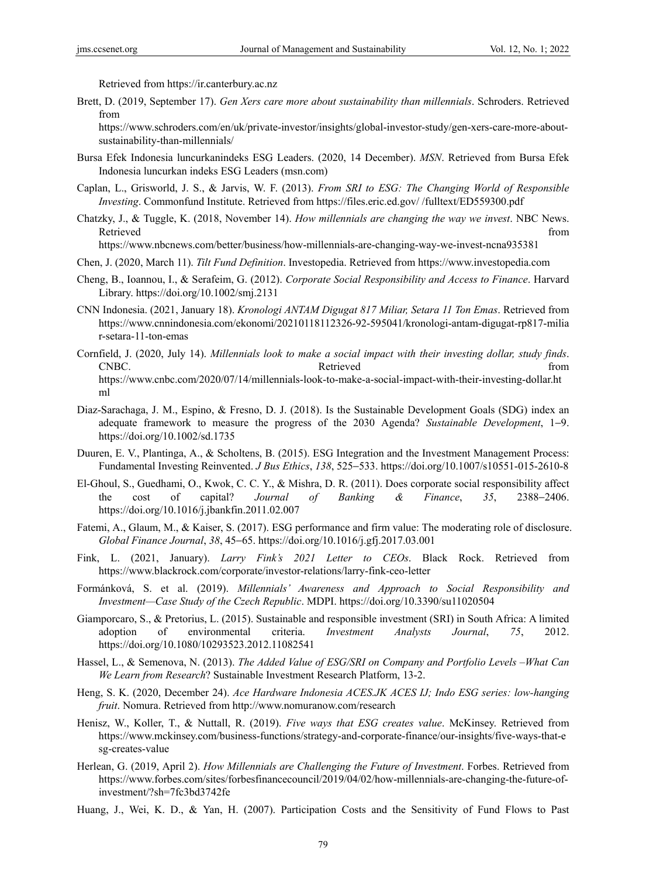Retrieved from https://ir.canterbury.ac.nz

Brett, D. (2019, September 17). *Gen Xers care more about sustainability than millennials*. Schroders. Retrieved from

https://www.schroders.com/en/uk/private-investor/insights/global-investor-study/gen-xers-care-more-aboutsustainability-than-millennials/

- Bursa Efek Indonesia luncurkanindeks ESG Leaders. (2020, 14 December). *MSN*. Retrieved from Bursa Efek Indonesia luncurkan indeks ESG Leaders (msn.com)
- Caplan, L., Grisworld, J. S., & Jarvis, W. F. (2013). *From SRI to ESG: The Changing World of Responsible Investing*. Commonfund Institute. Retrieved from https://files.eric.ed.gov/ /fulltext/ED559300.pdf
- Chatzky, J., & Tuggle, K. (2018, November 14). *How millennials are changing the way we invest*. NBC News. Retrieved that the contract of the contract of the contract of the contract of the contract of the contract of the contract of the contract of the contract of the contract of the contract of the contract of the contract of

https://www.nbcnews.com/better/business/how-millennials-are-changing-way-we-invest-ncna935381

- Chen, J. (2020, March 11). *Tilt Fund Definition*. Investopedia. Retrieved from https://www.investopedia.com
- Cheng, B., Ioannou, I., & Serafeim, G. (2012). *Corporate Social Responsibility and Access to Finance*. Harvard Library. https://doi.org/10.1002/smj.2131
- CNN Indonesia. (2021, January 18). *Kronologi ANTAM Digugat 817 Miliar, Setara 11 Ton Emas*. Retrieved from https://www.cnnindonesia.com/ekonomi/20210118112326-92-595041/kronologi-antam-digugat-rp817-milia r-setara-11-ton-emas

Cornfield, J. (2020, July 14). *Millennials look to make a social impact with their investing dollar, study finds*. CNBC. The contract of the contract of the contract of the contract of the contract of the contract of the contract of the contract of the contract of the contract of the contract of the contract of the contract of the cont https://www.cnbc.com/2020/07/14/millennials-look-to-make-a-social-impact-with-their-investing-dollar.ht ml

- Diaz-Sarachaga, J. M., Espino, & Fresno, D. J. (2018). Is the Sustainable Development Goals (SDG) index an adequate framework to measure the progress of the 2030 Agenda? *Sustainable Development*, 1−9. https://doi.org/10.1002/sd.1735
- Duuren, E. V., Plantinga, A., & Scholtens, B. (2015). ESG Integration and the Investment Management Process: Fundamental Investing Reinvented. *J Bus Ethics*, *138*, 525−533. https://doi.org/10.1007/s10551-015-2610-8
- El-Ghoul, S., Guedhami, O., Kwok, C. C. Y., & Mishra, D. R. (2011). Does corporate social responsibility affect the cost of capital? *Journal of Banking & Finance*, *35*, 2388−2406. https://doi.org/10.1016/j.jbankfin.2011.02.007
- Fatemi, A., Glaum, M., & Kaiser, S. (2017). ESG performance and firm value: The moderating role of disclosure. *Global Finance Journal*, *38*, 45−65. https://doi.org/10.1016/j.gfj.2017.03.001
- Fink, L. (2021, January). *Larry Fink's 2021 Letter to CEOs*. Black Rock. Retrieved from https://www.blackrock.com/corporate/investor-relations/larry-fink-ceo-letter
- Formánková, S. et al. (2019). *Millennials' Awareness and Approach to Social Responsibility and Investment—Case Study of the Czech Republic*. MDPI. https://doi.org/10.3390/su11020504
- Giamporcaro, S., & Pretorius, L. (2015). Sustainable and responsible investment (SRI) in South Africa: A limited adoption of environmental criteria. *Investment Analysts Journal*, *75*, 2012. https://doi.org/10.1080/10293523.2012.11082541
- Hassel, L., & Semenova, N. (2013). *The Added Value of ESG/SRI on Company and Portfolio Levels –What Can We Learn from Research*? Sustainable Investment Research Platform, 13-2.
- Heng, S. K. (2020, December 24). *Ace Hardware Indonesia ACES.JK ACES IJ; Indo ESG series: low-hanging fruit*. Nomura. Retrieved from http://www.nomuranow.com/research
- Henisz, W., Koller, T., & Nuttall, R. (2019). *Five ways that ESG creates value*. McKinsey. Retrieved from https://www.mckinsey.com/business-functions/strategy-and-corporate-finance/our-insights/five-ways-that-e sg-creates-value
- Herlean, G. (2019, April 2). *How Millennials are Challenging the Future of Investment*. Forbes. Retrieved from https://www.forbes.com/sites/forbesfinancecouncil/2019/04/02/how-millennials-are-changing-the-future-ofinvestment/?sh=7fc3bd3742fe
- Huang, J., Wei, K. D., & Yan, H. (2007). Participation Costs and the Sensitivity of Fund Flows to Past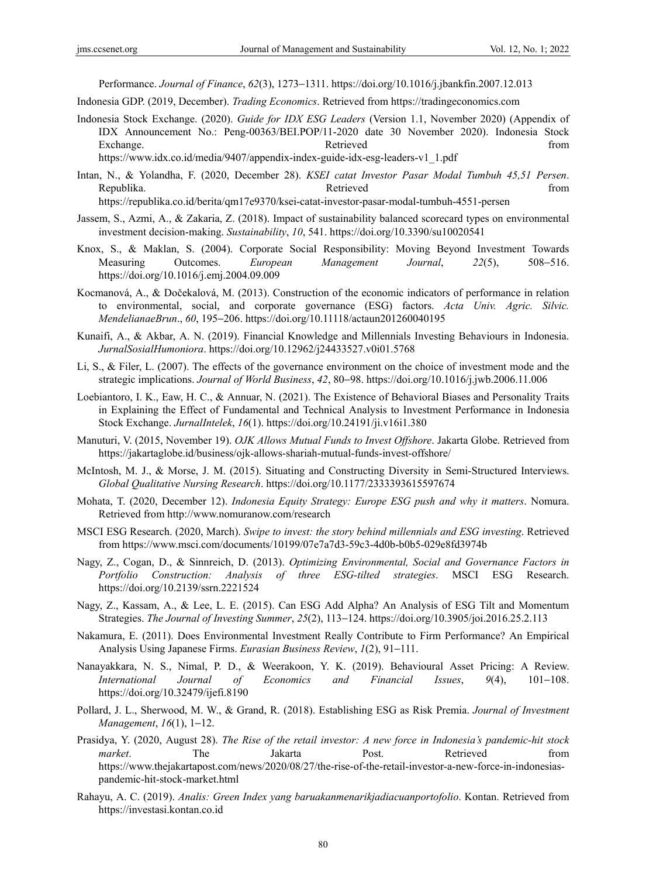Performance. *Journal of Finance*, *62*(3), 1273−1311. https://doi.org/10.1016/j.jbankfin.2007.12.013

Indonesia GDP. (2019, December). *Trading Economics*. Retrieved from https://tradingeconomics.com

Indonesia Stock Exchange. (2020). *Guide for IDX ESG Leaders* (Version 1.1, November 2020) (Appendix of IDX Announcement No.: Peng-00363/BEI.POP/11-2020 date 30 November 2020). Indonesia Stock Exchange. The contract of the exchange of the exchange of the exchange of the exchange of the exchange of the exchange of the exchange of the exchange of the exchange of the exchange of the exchange of the exchange of the

https://www.idx.co.id/media/9407/appendix-index-guide-idx-esg-leaders-v1\_1.pdf

Intan, N., & Yolandha, F. (2020, December 28). *KSEI catat Investor Pasar Modal Tumbuh 45,51 Persen*. Republika. Retrieved from https://republika.co.id/berita/qm17e9370/ksei-catat-investor-pasar-modal-tumbuh-4551-persen

Jassem, S., Azmi, A., & Zakaria, Z. (2018). Impact of sustainability balanced scorecard types on environmental investment decision-making. *Sustainability*, *10*, 541. https://doi.org/10.3390/su10020541

- Knox, S., & Maklan, S. (2004). Corporate Social Responsibility: Moving Beyond Investment Towards Measuring Outcomes. *European Management Journal*, *22*(5), 508−516. https://doi.org/10.1016/j.emj.2004.09.009
- Kocmanová, A., & Dočekalová, M. (2013). Construction of the economic indicators of performance in relation to environmental, social, and corporate governance (ESG) factors. *Acta Univ. Agric. Silvic. MendelianaeBrun*., *60*, 195−206. https://doi.org/10.11118/actaun201260040195
- Kunaifi, A., & Akbar, A. N. (2019). Financial Knowledge and Millennials Investing Behaviours in Indonesia. *JurnalSosialHumoniora*. https://doi.org/10.12962/j24433527.v0i01.5768
- Li, S., & Filer, L. (2007). The effects of the governance environment on the choice of investment mode and the strategic implications. *Journal of World Business*, *42*, 80−98. https://doi.org/10.1016/j.jwb.2006.11.006
- Loebiantoro, I. K., Eaw, H. C., & Annuar, N. (2021). The Existence of Behavioral Biases and Personality Traits in Explaining the Effect of Fundamental and Technical Analysis to Investment Performance in Indonesia Stock Exchange. *JurnalIntelek*, *16*(1). https://doi.org/10.24191/ji.v16i1.380
- Manuturi, V. (2015, November 19). *OJK Allows Mutual Funds to Invest Offshore*. Jakarta Globe. Retrieved from https://jakartaglobe.id/business/ojk-allows-shariah-mutual-funds-invest-offshore/
- McIntosh, M. J., & Morse, J. M. (2015). Situating and Constructing Diversity in Semi-Structured Interviews. *Global Qualitative Nursing Research*. https://doi.org/10.1177/2333393615597674
- Mohata, T. (2020, December 12). *Indonesia Equity Strategy: Europe ESG push and why it matters*. Nomura. Retrieved from http://www.nomuranow.com/research
- MSCI ESG Research. (2020, March). *Swipe to invest: the story behind millennials and ESG investing*. Retrieved from https://www.msci.com/documents/10199/07e7a7d3-59c3-4d0b-b0b5-029e8fd3974b
- Nagy, Z., Cogan, D., & Sinnreich, D. (2013). *Optimizing Environmental, Social and Governance Factors in Portfolio Construction: Analysis of three ESG-tilted strategies*. MSCI ESG Research. https://doi.org/10.2139/ssrn.2221524
- Nagy, Z., Kassam, A., & Lee, L. E. (2015). Can ESG Add Alpha? An Analysis of ESG Tilt and Momentum Strategies. *The Journal of Investing Summer*, *25*(2), 113−124. https://doi.org/10.3905/joi.2016.25.2.113
- Nakamura, E. (2011). Does Environmental Investment Really Contribute to Firm Performance? An Empirical Analysis Using Japanese Firms. *Eurasian Business Review*, *1*(2), 91−111.
- Nanayakkara, N. S., Nimal, P. D., & Weerakoon, Y. K. (2019). Behavioural Asset Pricing: A Review. *International Journal of Economics and Financial Issues*, *9*(4), 101−108. https://doi.org/10.32479/ijefi.8190
- Pollard, J. L., Sherwood, M. W., & Grand, R. (2018). Establishing ESG as Risk Premia. *Journal of Investment Management*, *16*(1), 1−12.
- Prasidya, Y. (2020, August 28). *The Rise of the retail investor: A new force in Indonesia's pandemic-hit stock market*. The Jakarta Post. Retrieved from https://www.thejakartapost.com/news/2020/08/27/the-rise-of-the-retail-investor-a-new-force-in-indonesiaspandemic-hit-stock-market.html
- Rahayu, A. C. (2019). *Analis: Green Index yang baruakanmenarikjadiacuanportofolio*. Kontan. Retrieved from https://investasi.kontan.co.id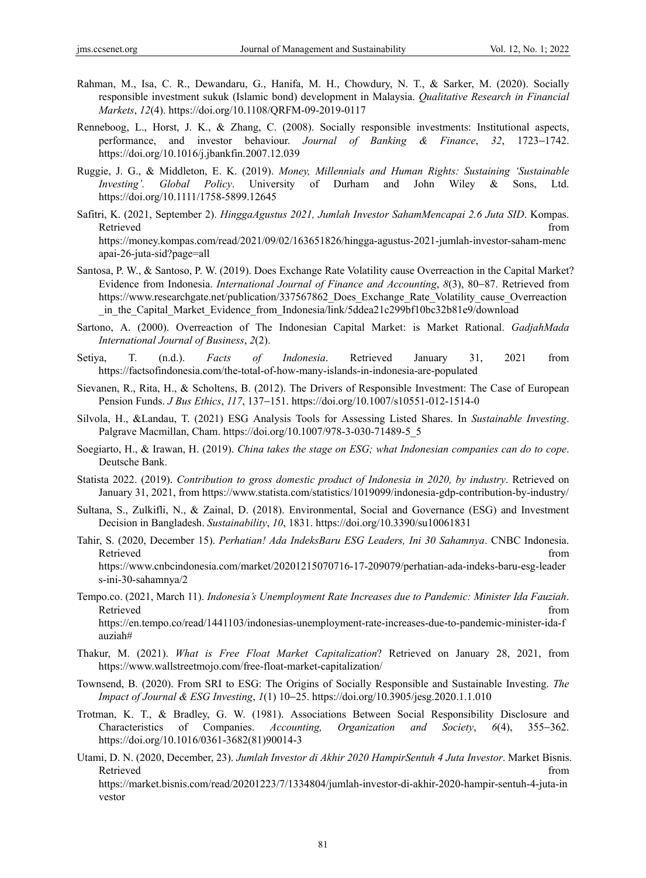- Rahman, M., Isa, C. R., Dewandaru, G., Hanifa, M. H., Chowdury, N. T., & Sarker, M. (2020). Socially responsible investment sukuk (Islamic bond) development in Malaysia. *Qualitative Research in Financial Markets*, *12*(4). https://doi.org/10.1108/QRFM-09-2019-0117
- Renneboog, L., Horst, J. K., & Zhang, C. (2008). Socially responsible investments: Institutional aspects, performance, and investor behaviour. *Journal of Banking & Finance*, *32*, 1723−1742. https://doi.org/10.1016/j.jbankfin.2007.12.039
- Ruggie, J. G., & Middleton, E. K. (2019). *Money, Millennials and Human Rights: Sustaining 'Sustainable Investing'. Global Policy*. University of Durham and John Wiley & Sons, Ltd. https://doi.org/10.1111/1758-5899.12645
- Safitri, K. (2021, September 2). *HinggaAgustus 2021, Jumlah Investor SahamMencapai 2.6 Juta SID*. Kompas. Retrieved that the contract of the contract of the contract of the contract of the contract of the contract of the contract of the contract of the contract of the contract of the contract of the contract of the contract of https://money.kompas.com/read/2021/09/02/163651826/hingga-agustus-2021-jumlah-investor-saham-menc apai-26-juta-sid?page=all
- Santosa, P. W., & Santoso, P. W. (2019). Does Exchange Rate Volatility cause Overreaction in the Capital Market? Evidence from Indonesia. *International Journal of Finance and Accounting*, *8*(3), 80−87. Retrieved from https://www.researchgate.net/publication/337567862 Does Exchange Rate Volatility cause Overreaction in the Capital Market Evidence from Indonesia/link/5ddea21c299bf10bc32b81e9/download
- Sartono, A. (2000). Overreaction of The Indonesian Capital Market: is Market Rational. *GadjahMada International Journal of Business*, *2*(2).
- Setiya, T. (n.d.). *Facts of Indonesia*. Retrieved January 31, 2021 from https://factsofindonesia.com/the-total-of-how-many-islands-in-indonesia-are-populated
- Sievanen, R., Rita, H., & Scholtens, B. (2012). The Drivers of Responsible Investment: The Case of European Pension Funds. *J Bus Ethics*, *117*, 137−151. https://doi.org/10.1007/s10551-012-1514-0
- Silvola, H., &Landau, T. (2021) ESG Analysis Tools for Assessing Listed Shares. In *Sustainable Investing*. Palgrave Macmillan, Cham. https://doi.org/10.1007/978-3-030-71489-5\_5
- Soegiarto, H., & Irawan, H. (2019). *China takes the stage on ESG; what Indonesian companies can do to cope*. Deutsche Bank.
- Statista 2022. (2019). *Contribution to gross domestic product of Indonesia in 2020, by industry*. Retrieved on January 31, 2021, from https://www.statista.com/statistics/1019099/indonesia-gdp-contribution-by-industry/
- Sultana, S., Zulkifli, N., & Zainal, D. (2018). Environmental, Social and Governance (ESG) and Investment Decision in Bangladesh. *Sustainability*, *10*, 1831. https://doi.org/10.3390/su10061831
- Tahir, S. (2020, December 15). *Perhatian! Ada IndeksBaru ESG Leaders, Ini 30 Sahamnya*. CNBC Indonesia. Retrieved that the contract of the contract of the contract of the contract of the contract of the contract of the contract of the contract of the contract of the contract of the contract of the contract of the contract of https://www.cnbcindonesia.com/market/20201215070716-17-209079/perhatian-ada-indeks-baru-esg-leader s-ini-30-sahamnya/2
- Tempo.co. (2021, March 11). *Indonesia's Unemployment Rate Increases due to Pandemic: Minister Ida Fauziah*. Retrieved that the contract of the contract of the contract of the contract of the contract of the contract of the contract of the contract of the contract of the contract of the contract of the contract of the contract of https://en.tempo.co/read/1441103/indonesias-unemployment-rate-increases-due-to-pandemic-minister-ida-f auziah#
- Thakur, M. (2021). *What is Free Float Market Capitalization*? Retrieved on January 28, 2021, from https://www.wallstreetmojo.com/free-float-market-capitalization/
- Townsend, B. (2020). From SRI to ESG: The Origins of Socially Responsible and Sustainable Investing. *The Impact of Journal & ESG Investing*, *1*(1) 10−25. https://doi.org/10.3905/jesg.2020.1.1.010
- Trotman, K. T., & Bradley, G. W. (1981). Associations Between Social Responsibility Disclosure and Characteristics of Companies. *Accounting, Organization and Society*, *6*(4), 355−362. https://doi.org/10.1016/0361-3682(81)90014-3
- Utami, D. N. (2020, December, 23). *Jumlah Investor di Akhir 2020 HampirSentuh 4 Juta Investor*. Market Bisnis. Retrieved that the contract of the contract of the contract of the contract of the contract of the contract of the contract of the contract of the contract of the contract of the contract of the contract of the contract of

https://market.bisnis.com/read/20201223/7/1334804/jumlah-investor-di-akhir-2020-hampir-sentuh-4-juta-in vestor